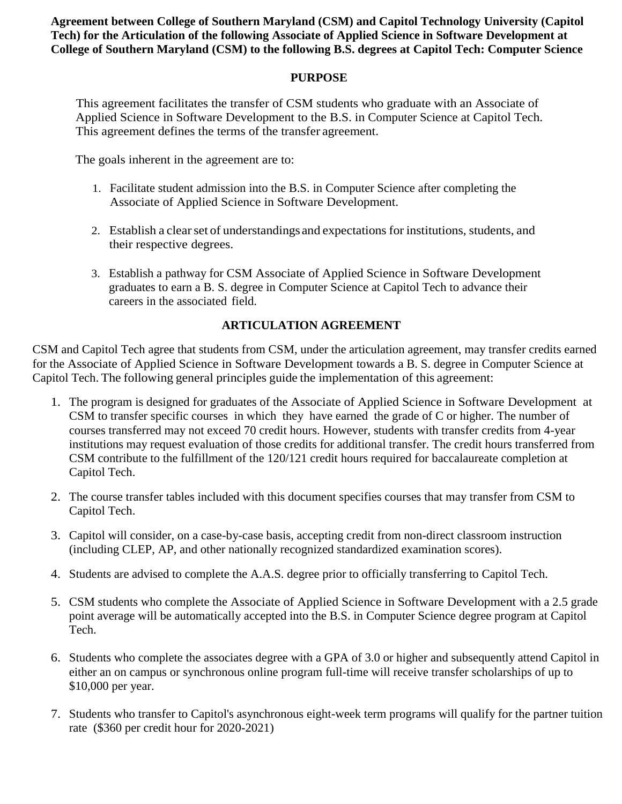**Agreement between College of Southern Maryland (CSM) and Capitol Technology University (Capitol Tech) for the Articulation of the following Associate of Applied Science in Software Development at College of Southern Maryland (CSM) to the following B.S. degrees at Capitol Tech: Computer Science**

#### **PURPOSE**

This agreement facilitates the transfer of CSM students who graduate with an Associate of Applied Science in Software Development to the B.S. in Computer Science at Capitol Tech. This agreement defines the terms of the transfer agreement.

The goals inherent in the agreement are to:

- 1. Facilitate student admission into the B.S. in Computer Science after completing the Associate of Applied Science in Software Development.
- 2. Establish a clear set of understandings and expectations for institutions, students, and their respective degrees.
- 3. Establish a pathway for CSM Associate of Applied Science in Software Development graduates to earn a B. S. degree in Computer Science at Capitol Tech to advance their careers in the associated field.

#### **ARTICULATION AGREEMENT**

CSM and Capitol Tech agree that students from CSM, under the articulation agreement, may transfer credits earned for the Associate of Applied Science in Software Development towards a B. S. degree in Computer Science at Capitol Tech. The following general principles guide the implementation of this agreement:

- 1. The program is designed for graduates of the Associate of Applied Science in Software Development at CSM to transfer specific courses in which they have earned the grade of C or higher. The number of courses transferred may not exceed 70 credit hours. However, students with transfer credits from 4-year institutions may request evaluation of those credits for additional transfer. The credit hours transferred from CSM contribute to the fulfillment of the 120/121 credit hours required for baccalaureate completion at Capitol Tech.
- 2. The course transfer tables included with this document specifies courses that may transfer from CSM to Capitol Tech.
- 3. Capitol will consider, on a case-by-case basis, accepting credit from non-direct classroom instruction (including CLEP, AP, and other nationally recognized standardized examination scores).
- 4. Students are advised to complete the A.A.S. degree prior to officially transferring to Capitol Tech.
- 5. CSM students who complete the Associate of Applied Science in Software Development with a 2.5 grade point average will be automatically accepted into the B.S. in Computer Science degree program at Capitol Tech.
- 6. Students who complete the associates degree with a GPA of 3.0 or higher and subsequently attend Capitol in either an on campus or synchronous online program full-time will receive transfer scholarships of up to \$10,000 per year.
- 7. Students who transfer to Capitol's asynchronous eight-week term programs will qualify for the partner tuition rate (\$360 per credit hour for 2020-2021)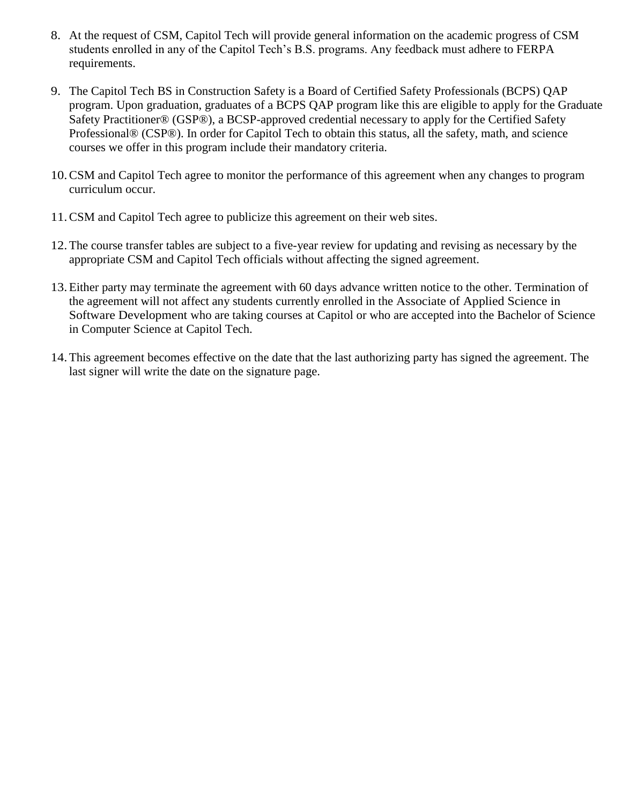- 8. At the request of CSM, Capitol Tech will provide general information on the academic progress of CSM students enrolled in any of the Capitol Tech's B.S. programs. Any feedback must adhere to FERPA requirements.
- 9. The Capitol Tech BS in Construction Safety is a Board of Certified Safety Professionals (BCPS) QAP program. Upon graduation, graduates of a BCPS QAP program like this are eligible to apply for the Graduate Safety Practitioner® (GSP®), a BCSP-approved credential necessary to apply for the Certified Safety Professional® (CSP®). In order for Capitol Tech to obtain this status, all the safety, math, and science courses we offer in this program include their mandatory criteria.
- 10.CSM and Capitol Tech agree to monitor the performance of this agreement when any changes to program curriculum occur.
- 11.CSM and Capitol Tech agree to publicize this agreement on their web sites.
- 12.The course transfer tables are subject to a five-year review for updating and revising as necessary by the appropriate CSM and Capitol Tech officials without affecting the signed agreement.
- 13.Either party may terminate the agreement with 60 days advance written notice to the other. Termination of the agreement will not affect any students currently enrolled in the Associate of Applied Science in Software Development who are taking courses at Capitol or who are accepted into the Bachelor of Science in Computer Science at Capitol Tech.
- 14.This agreement becomes effective on the date that the last authorizing party has signed the agreement. The last signer will write the date on the signature page.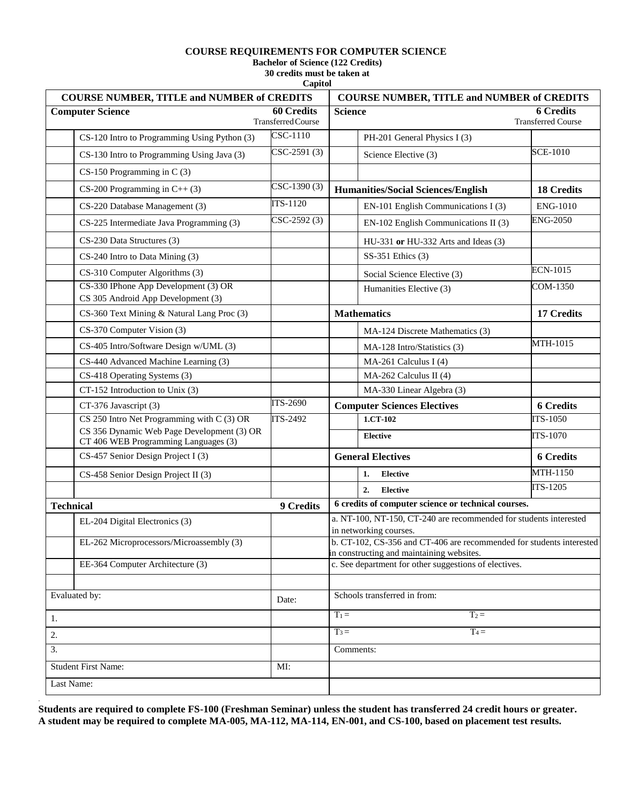#### **COURSE REQUIREMENTS FOR COMPUTER SCIENCE**

**Bachelor of Science (122 Credits)** 

**30 credits must be taken at Capitol**

|                                   | <b>COURSE NUMBER, TITLE and NUMBER of CREDITS</b>                                  | <b>COURSE NUMBER, TITLE and NUMBER of CREDITS</b> |                                                                                                                   |  |
|-----------------------------------|------------------------------------------------------------------------------------|---------------------------------------------------|-------------------------------------------------------------------------------------------------------------------|--|
| <b>Computer Science</b>           |                                                                                    | <b>60 Credits</b><br><b>Transferred Course</b>    | <b>Science</b><br><b>6 Credits</b><br><b>Transferred Course</b>                                                   |  |
|                                   | CS-120 Intro to Programming Using Python (3)                                       | CSC-1110                                          | PH-201 General Physics I (3)                                                                                      |  |
|                                   | CS-130 Intro to Programming Using Java (3)                                         | $CSC-2591(3)$                                     | <b>SCE-1010</b><br>Science Elective (3)                                                                           |  |
|                                   | $CS-150$ Programming in C $(3)$                                                    |                                                   |                                                                                                                   |  |
|                                   | $CS-200$ Programming in $C++(3)$                                                   | $CSC-1390(3)$                                     | <b>Humanities/Social Sciences/English</b><br><b>18 Credits</b>                                                    |  |
|                                   | CS-220 Database Management (3)                                                     | <b>ITS-1120</b>                                   | EN-101 English Communications I (3)<br><b>ENG-1010</b>                                                            |  |
|                                   | CS-225 Intermediate Java Programming (3)                                           | $CSC-2592(3)$                                     | <b>ENG-2050</b><br>EN-102 English Communications II (3)                                                           |  |
|                                   | CS-230 Data Structures (3)                                                         |                                                   | $HU-331$ or $HU-332$ Arts and Ideas (3)                                                                           |  |
|                                   | CS-240 Intro to Data Mining (3)                                                    |                                                   | SS-351 Ethics (3)                                                                                                 |  |
|                                   | CS-310 Computer Algorithms (3)                                                     |                                                   | <b>ECN-1015</b><br>Social Science Elective (3)                                                                    |  |
|                                   | CS-330 IPhone App Development (3) OR<br>CS 305 Android App Development (3)         |                                                   | COM-1350<br>Humanities Elective (3)                                                                               |  |
|                                   | CS-360 Text Mining & Natural Lang Proc (3)                                         |                                                   | <b>Mathematics</b><br>17 Credits                                                                                  |  |
|                                   | CS-370 Computer Vision (3)                                                         |                                                   | MA-124 Discrete Mathematics (3)                                                                                   |  |
|                                   | CS-405 Intro/Software Design w/UML (3)                                             |                                                   | MTH-1015<br>MA-128 Intro/Statistics (3)                                                                           |  |
|                                   | CS-440 Advanced Machine Learning (3)                                               |                                                   | MA-261 Calculus I (4)                                                                                             |  |
|                                   | CS-418 Operating Systems (3)                                                       |                                                   | MA-262 Calculus II (4)                                                                                            |  |
|                                   | CT-152 Introduction to Unix (3)                                                    |                                                   | MA-330 Linear Algebra (3)                                                                                         |  |
|                                   | CT-376 Javascript (3)                                                              | <b>ITS-2690</b>                                   | <b>Computer Sciences Electives</b><br><b>6 Credits</b>                                                            |  |
|                                   | CS 250 Intro Net Programming with C (3) OR                                         | ITS-2492                                          | <b>ITS-1050</b><br>1.CT-102                                                                                       |  |
|                                   | CS 356 Dynamic Web Page Development (3) OR<br>CT 406 WEB Programming Languages (3) |                                                   | <b>ITS-1070</b><br><b>Elective</b>                                                                                |  |
|                                   | CS-457 Senior Design Project I (3)                                                 |                                                   | <b>General Electives</b><br><b>6 Credits</b>                                                                      |  |
|                                   | CS-458 Senior Design Project II (3)                                                |                                                   | MTH-1150<br><b>Elective</b><br>1.                                                                                 |  |
|                                   |                                                                                    |                                                   | ITS-1205<br>2.<br><b>Elective</b>                                                                                 |  |
| <b>Technical</b>                  |                                                                                    | 9 Credits                                         | 6 credits of computer science or technical courses.                                                               |  |
|                                   | EL-204 Digital Electronics (3)                                                     |                                                   | a. NT-100, NT-150, CT-240 are recommended for students interested<br>in networking courses.                       |  |
|                                   | EL-262 Microprocessors/Microassembly (3)                                           |                                                   | b. CT-102, CS-356 and CT-406 are recommended for students interested<br>in constructing and maintaining websites. |  |
|                                   | EE-364 Computer Architecture (3)                                                   |                                                   | c. See department for other suggestions of electives.                                                             |  |
|                                   |                                                                                    |                                                   |                                                                                                                   |  |
| Evaluated by:                     |                                                                                    | Date:                                             | Schools transferred in from:                                                                                      |  |
| 1.                                |                                                                                    |                                                   | $T_1 =$<br>$T_2 =$                                                                                                |  |
| 2.                                |                                                                                    |                                                   | $T_3 =$<br>$T_4 =$                                                                                                |  |
| 3.                                |                                                                                    |                                                   | Comments:                                                                                                         |  |
| <b>Student First Name:</b><br>MI: |                                                                                    |                                                   |                                                                                                                   |  |
| Last Name:                        |                                                                                    |                                                   |                                                                                                                   |  |

**Students are required to complete FS-100 (Freshman Seminar) unless the student has transferred 24 credit hours or greater. A student may be required to complete MA-005, MA-112, MA-114, EN-001, and CS-100, based on placement test results.**

.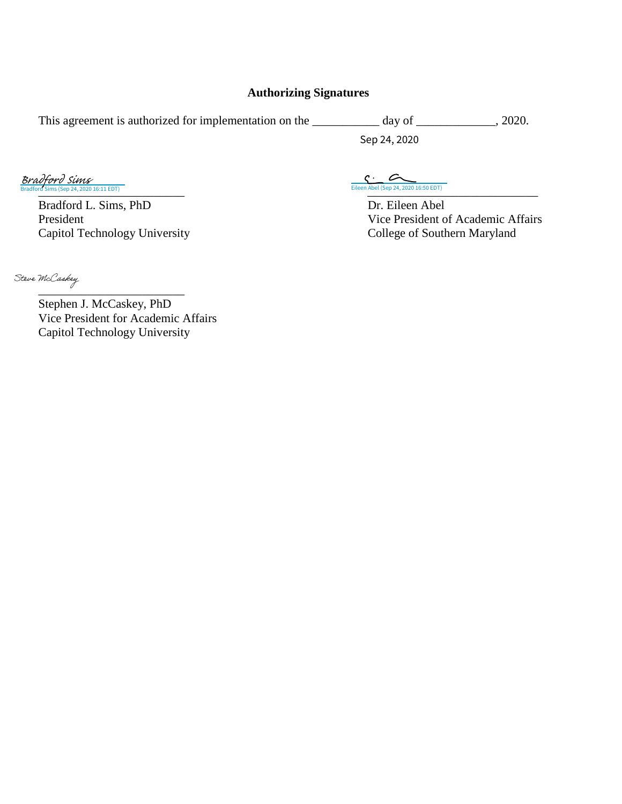### **Authorizing Signatures**

| This agreement is authorized for implementation on the | day of       | 2020. |
|--------------------------------------------------------|--------------|-------|
|                                                        | Sep 24, 2020 |       |

Bradford L. Sims, PhD Dr. Eileen Abel<br>President Vice President of Vice President of Vice President of Vice President of Vice President of Vice President of Vice President of Vice President of Vice President of Vice Preside

Capitol Technology University

 $\mathbf{C}$  $\sim$  $\frac{1}{\text{Brad}$   $\text{Gup}/\text{Gup}}$   $\frac{1}{\text{Brad}$   $\text{Sep 24, 2020 16:11 EDT}}$ en Abel (Sep 24, 2020 16:50 EDT)

Vice President of Academic Affairs<br>College of Southern Maryland

[\\_\\_\\_\\_\\_\\_\\_\\_\\_\\_\\_\\_\\_\\_\\_\\_\\_\\_\\_\\_\\_\\_\\_\\_](https://adobecancelledaccountschannel.na2.documents.adobe.com/verifier?tx=CBJCHBCAABAAhIMW16uLYUF2ylu4heuwEMmrbykddORt) Stephen J. McCaskey, PhD Vice President for Academic Affairs Capitol Technology University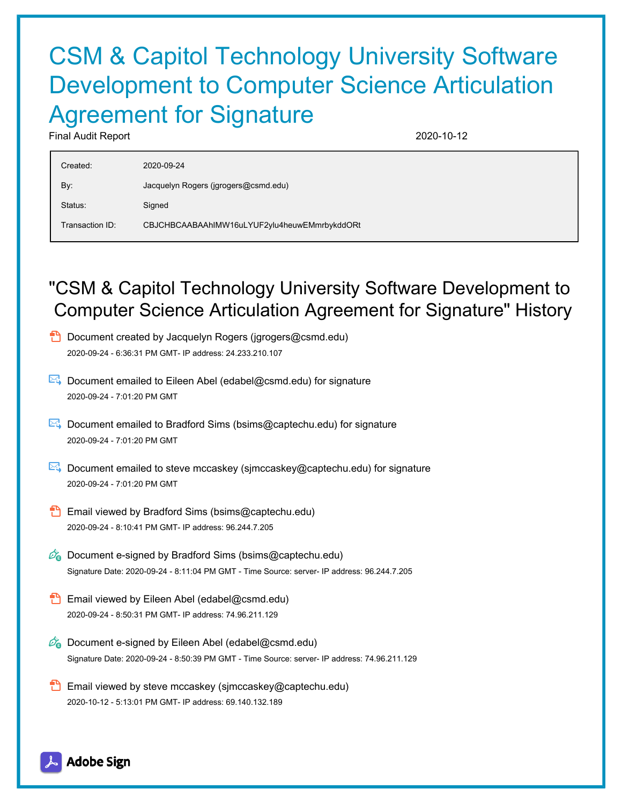# CSM & Capitol Technology University Software Development to Computer Science Articulation Agreement for Signature

Final Audit Report 2020-10-12

| Created:        | 2020-09-24                                   |
|-----------------|----------------------------------------------|
| By:             | Jacquelyn Rogers (jgrogers@csmd.edu)         |
| Status:         | Signed                                       |
| Transaction ID: | CBJCHBCAABAAhIMW16uLYUF2ylu4heuwEMmrbykddORt |

## "CSM & Capitol Technology University Software Development to Computer Science Articulation Agreement for Signature" History



- $\mathbb{E}$  Document emailed to Eileen Abel (edabel@csmd.edu) for signature 2020-09-24 - 7:01:20 PM GMT
- Document emailed to Bradford Sims (bsims@captechu.edu) for signature 2020-09-24 - 7:01:20 PM GMT
- Document emailed to steve mccaskey (sjmccaskey@captechu.edu) for signature 2020-09-24 - 7:01:20 PM GMT
- **Email viewed by Bradford Sims (bsims@captechu.edu)** 2020-09-24 - 8:10:41 PM GMT- IP address: 96.244.7.205
- $\mathbb{Z}_{\bullet}$  Document e-signed by Bradford Sims (bsims@captechu.edu) Signature Date: 2020-09-24 - 8:11:04 PM GMT - Time Source: server- IP address: 96.244.7.205
- **Email viewed by Eileen Abel (edabel@csmd.edu)** 2020-09-24 - 8:50:31 PM GMT- IP address: 74.96.211.129
- $\mathscr{O}_\blacksquare$  Document e-signed by Eileen Abel (edabel@csmd.edu) Signature Date: 2020-09-24 - 8:50:39 PM GMT - Time Source: server- IP address: 74.96.211.129
- **Email viewed by steve mccaskey (sjmccaskey@captechu.edu)** 2020-10-12 - 5:13:01 PM GMT- IP address: 69.140.132.189